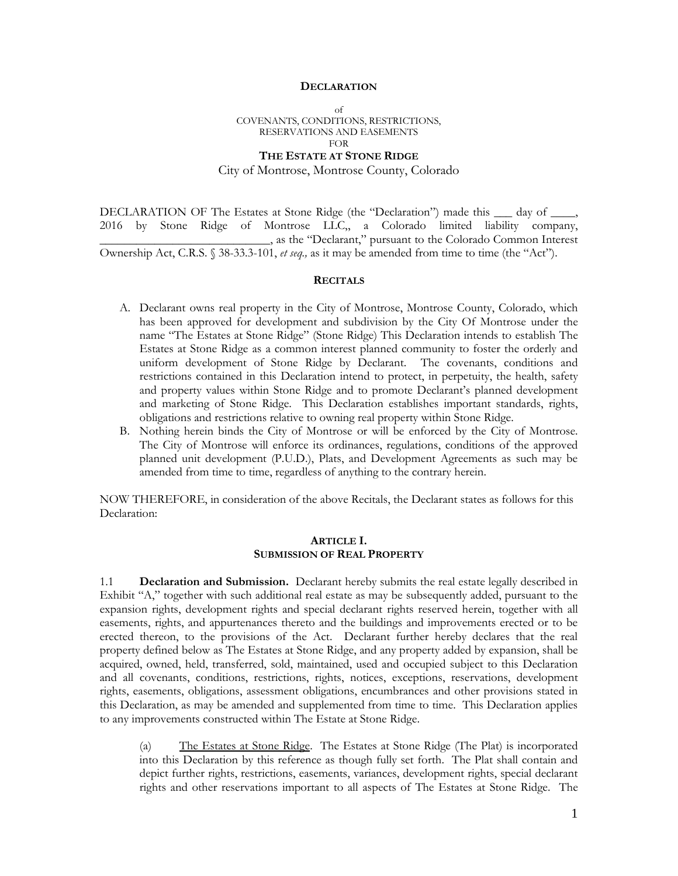#### **DECLARATION**

of COVENANTS, CONDITIONS, RESTRICTIONS, RESERVATIONS AND EASEMENTS FOR **THE ESTATE AT STONE RIDGE**

## City of Montrose, Montrose County, Colorado

DECLARATION OF The Estates at Stone Ridge (the "Declaration") made this  $\_\_$  day of  $\_\_$ 2016 by Stone Ridge of Montrose LLC,, a Colorado limited liability company, \_\_\_\_\_\_\_\_\_\_\_\_\_\_\_\_\_\_\_\_\_\_\_\_\_\_\_\_, as the "Declarant," pursuant to the Colorado Common Interest Ownership Act, C.R.S. § 38-33.3-101, *et seq.,* as it may be amended from time to time (the "Act").

#### **RECITALS**

- A. Declarant owns real property in the City of Montrose, Montrose County, Colorado, which has been approved for development and subdivision by the City Of Montrose under the name "The Estates at Stone Ridge" (Stone Ridge) This Declaration intends to establish The Estates at Stone Ridge as a common interest planned community to foster the orderly and uniform development of Stone Ridge by Declarant. The covenants, conditions and restrictions contained in this Declaration intend to protect, in perpetuity, the health, safety and property values within Stone Ridge and to promote Declarant's planned development and marketing of Stone Ridge. This Declaration establishes important standards, rights, obligations and restrictions relative to owning real property within Stone Ridge.
- B. Nothing herein binds the City of Montrose or will be enforced by the City of Montrose. The City of Montrose will enforce its ordinances, regulations, conditions of the approved planned unit development (P.U.D.), Plats, and Development Agreements as such may be amended from time to time, regardless of anything to the contrary herein.

NOW THEREFORE, in consideration of the above Recitals, the Declarant states as follows for this Declaration:

#### **ARTICLE I. SUBMISSION OF REAL PROPERTY**

1.1 **Declaration and Submission.** Declarant hereby submits the real estate legally described in Exhibit "A," together with such additional real estate as may be subsequently added, pursuant to the expansion rights, development rights and special declarant rights reserved herein, together with all easements, rights, and appurtenances thereto and the buildings and improvements erected or to be erected thereon, to the provisions of the Act. Declarant further hereby declares that the real property defined below as The Estates at Stone Ridge, and any property added by expansion, shall be acquired, owned, held, transferred, sold, maintained, used and occupied subject to this Declaration and all covenants, conditions, restrictions, rights, notices, exceptions, reservations, development rights, easements, obligations, assessment obligations, encumbrances and other provisions stated in this Declaration, as may be amended and supplemented from time to time. This Declaration applies to any improvements constructed within The Estate at Stone Ridge.

(a) The Estates at Stone Ridge. The Estates at Stone Ridge (The Plat) is incorporated into this Declaration by this reference as though fully set forth. The Plat shall contain and depict further rights, restrictions, easements, variances, development rights, special declarant rights and other reservations important to all aspects of The Estates at Stone Ridge. The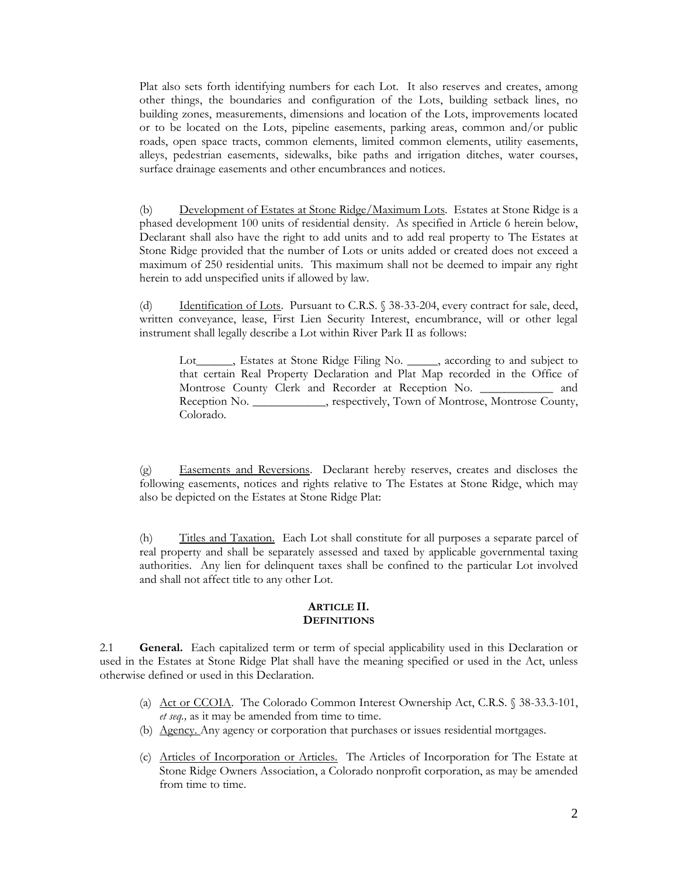Plat also sets forth identifying numbers for each Lot. It also reserves and creates, among other things, the boundaries and configuration of the Lots, building setback lines, no building zones, measurements, dimensions and location of the Lots, improvements located or to be located on the Lots, pipeline easements, parking areas, common and/or public roads, open space tracts, common elements, limited common elements, utility easements, alleys, pedestrian easements, sidewalks, bike paths and irrigation ditches, water courses, surface drainage easements and other encumbrances and notices.

(b) Development of Estates at Stone Ridge/Maximum Lots*.* Estates at Stone Ridge is a phased development 100 units of residential density. As specified in Article 6 herein below, Declarant shall also have the right to add units and to add real property to The Estates at Stone Ridge provided that the number of Lots or units added or created does not exceed a maximum of 250 residential units. This maximum shall not be deemed to impair any right herein to add unspecified units if allowed by law.

(d) Identification of Lots. Pursuant to C.R.S. § 38-33-204, every contract for sale, deed, written conveyance, lease, First Lien Security Interest, encumbrance, will or other legal instrument shall legally describe a Lot within River Park II as follows:

Lot\_\_\_\_\_, Estates at Stone Ridge Filing No. \_\_\_\_, according to and subject to that certain Real Property Declaration and Plat Map recorded in the Office of Montrose County Clerk and Recorder at Reception No. \_\_\_\_\_\_\_\_\_\_\_\_ and Reception No. \_\_\_\_\_\_\_\_\_\_\_\_, respectively, Town of Montrose, Montrose County, Colorado.

(g) Easements and Reversions. Declarant hereby reserves, creates and discloses the following easements, notices and rights relative to The Estates at Stone Ridge, which may also be depicted on the Estates at Stone Ridge Plat:

(h) Titles and Taxation. Each Lot shall constitute for all purposes a separate parcel of real property and shall be separately assessed and taxed by applicable governmental taxing authorities. Any lien for delinquent taxes shall be confined to the particular Lot involved and shall not affect title to any other Lot.

#### **ARTICLE II. DEFINITIONS**

2.1 **General.** Each capitalized term or term of special applicability used in this Declaration or used in the Estates at Stone Ridge Plat shall have the meaning specified or used in the Act, unless otherwise defined or used in this Declaration.

- (a) Act or CCOIA. The Colorado Common Interest Ownership Act, C.R.S. § 38-33.3-101, *et seq.,* as it may be amended from time to time.
- (b) Agency. Any agency or corporation that purchases or issues residential mortgages.
- (c) Articles of Incorporation or Articles. The Articles of Incorporation for The Estate at Stone Ridge Owners Association, a Colorado nonprofit corporation, as may be amended from time to time.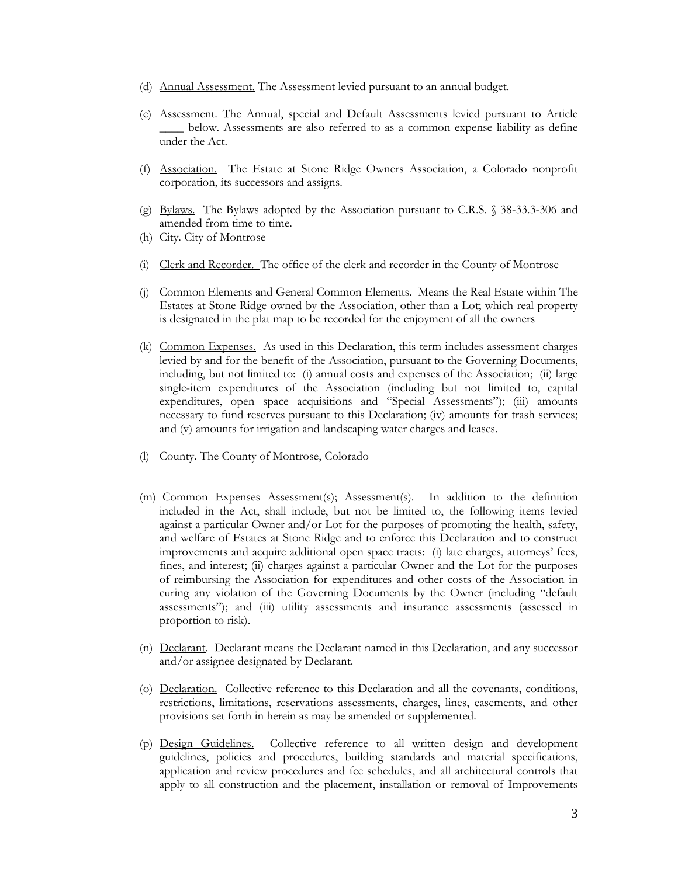- (d) Annual Assessment. The Assessment levied pursuant to an annual budget.
- (e) Assessment. The Annual, special and Default Assessments levied pursuant to Article \_\_\_\_ below. Assessments are also referred to as a common expense liability as define under the Act.
- (f) Association. The Estate at Stone Ridge Owners Association, a Colorado nonprofit corporation, its successors and assigns.
- (g) Bylaws. The Bylaws adopted by the Association pursuant to C.R.S. § 38-33.3-306 and amended from time to time.
- (h) City. City of Montrose
- (i) Clerk and Recorder. The office of the clerk and recorder in the County of Montrose
- (j) Common Elements and General Common Elements. Means the Real Estate within The Estates at Stone Ridge owned by the Association, other than a Lot; which real property is designated in the plat map to be recorded for the enjoyment of all the owners
- (k) Common Expenses. As used in this Declaration, this term includes assessment charges levied by and for the benefit of the Association, pursuant to the Governing Documents, including, but not limited to: (i) annual costs and expenses of the Association; (ii) large single-item expenditures of the Association (including but not limited to, capital expenditures, open space acquisitions and "Special Assessments"); (iii) amounts necessary to fund reserves pursuant to this Declaration; (iv) amounts for trash services; and (v) amounts for irrigation and landscaping water charges and leases.
- (l) County. The County of Montrose, Colorado
- (m) Common Expenses Assessment(s); Assessment(s). In addition to the definition included in the Act, shall include, but not be limited to, the following items levied against a particular Owner and/or Lot for the purposes of promoting the health, safety, and welfare of Estates at Stone Ridge and to enforce this Declaration and to construct improvements and acquire additional open space tracts: (i) late charges, attorneys' fees, fines, and interest; (ii) charges against a particular Owner and the Lot for the purposes of reimbursing the Association for expenditures and other costs of the Association in curing any violation of the Governing Documents by the Owner (including "default assessments"); and (iii) utility assessments and insurance assessments (assessed in proportion to risk).
- (n) Declarant. Declarant means the Declarant named in this Declaration, and any successor and/or assignee designated by Declarant.
- (o) Declaration. Collective reference to this Declaration and all the covenants, conditions, restrictions, limitations, reservations assessments, charges, lines, easements, and other provisions set forth in herein as may be amended or supplemented.
- (p) Design Guidelines. Collective reference to all written design and development guidelines, policies and procedures, building standards and material specifications, application and review procedures and fee schedules, and all architectural controls that apply to all construction and the placement, installation or removal of Improvements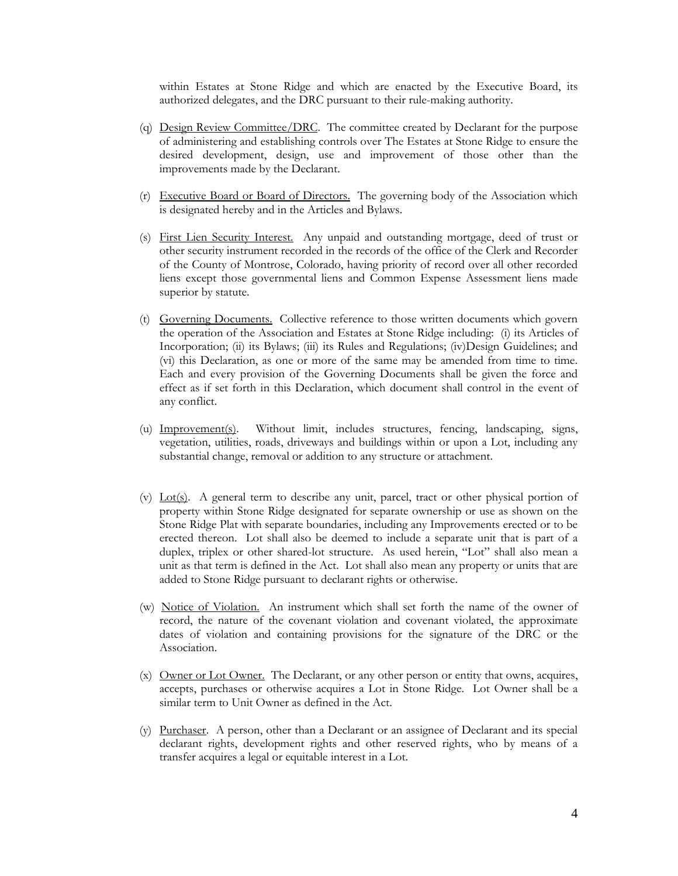within Estates at Stone Ridge and which are enacted by the Executive Board, its authorized delegates, and the DRC pursuant to their rule-making authority.

- (q) Design Review Committee/DRC. The committee created by Declarant for the purpose of administering and establishing controls over The Estates at Stone Ridge to ensure the desired development, design, use and improvement of those other than the improvements made by the Declarant.
- (r) Executive Board or Board of Directors. The governing body of the Association which is designated hereby and in the Articles and Bylaws.
- (s) First Lien Security Interest. Any unpaid and outstanding mortgage, deed of trust or other security instrument recorded in the records of the office of the Clerk and Recorder of the County of Montrose, Colorado, having priority of record over all other recorded liens except those governmental liens and Common Expense Assessment liens made superior by statute.
- (t) Governing Documents. Collective reference to those written documents which govern the operation of the Association and Estates at Stone Ridge including: (i) its Articles of Incorporation; (ii) its Bylaws; (iii) its Rules and Regulations; (iv)Design Guidelines; and (vi) this Declaration, as one or more of the same may be amended from time to time. Each and every provision of the Governing Documents shall be given the force and effect as if set forth in this Declaration, which document shall control in the event of any conflict.
- (u) Improvement(s). Without limit, includes structures, fencing, landscaping, signs, vegetation, utilities, roads, driveways and buildings within or upon a Lot, including any substantial change, removal or addition to any structure or attachment.
- (v) Lot(s). A general term to describe any unit, parcel, tract or other physical portion of property within Stone Ridge designated for separate ownership or use as shown on the Stone Ridge Plat with separate boundaries, including any Improvements erected or to be erected thereon. Lot shall also be deemed to include a separate unit that is part of a duplex, triplex or other shared-lot structure. As used herein, "Lot" shall also mean a unit as that term is defined in the Act. Lot shall also mean any property or units that are added to Stone Ridge pursuant to declarant rights or otherwise.
- (w) Notice of Violation. An instrument which shall set forth the name of the owner of record, the nature of the covenant violation and covenant violated, the approximate dates of violation and containing provisions for the signature of the DRC or the Association.
- (x) Owner or Lot Owner. The Declarant, or any other person or entity that owns, acquires, accepts, purchases or otherwise acquires a Lot in Stone Ridge. Lot Owner shall be a similar term to Unit Owner as defined in the Act.
- (y) Purchaser. A person, other than a Declarant or an assignee of Declarant and its special declarant rights, development rights and other reserved rights, who by means of a transfer acquires a legal or equitable interest in a Lot.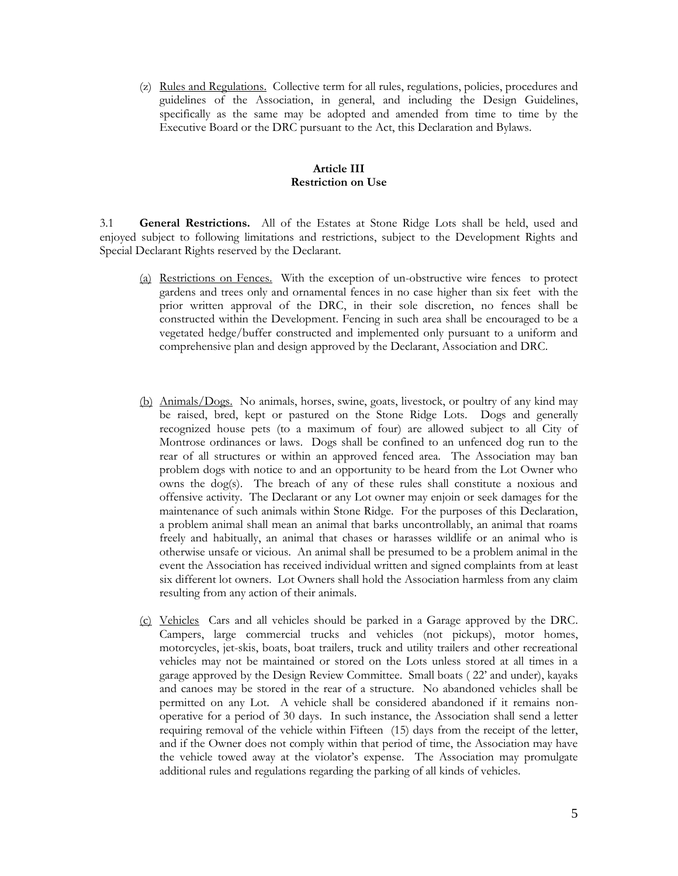(z) Rules and Regulations. Collective term for all rules, regulations, policies, procedures and guidelines of the Association, in general, and including the Design Guidelines, specifically as the same may be adopted and amended from time to time by the Executive Board or the DRC pursuant to the Act, this Declaration and Bylaws.

#### **Article III Restriction on Use**

3.1 **General Restrictions.** All of the Estates at Stone Ridge Lots shall be held, used and enjoyed subject to following limitations and restrictions, subject to the Development Rights and Special Declarant Rights reserved by the Declarant.

- (a) Restrictions on Fences. With the exception of un-obstructive wire fences to protect gardens and trees only and ornamental fences in no case higher than six feet with the prior written approval of the DRC, in their sole discretion, no fences shall be constructed within the Development. Fencing in such area shall be encouraged to be a vegetated hedge/buffer constructed and implemented only pursuant to a uniform and comprehensive plan and design approved by the Declarant, Association and DRC.
- (b) Animals/Dogs. No animals, horses, swine, goats, livestock, or poultry of any kind may be raised, bred, kept or pastured on the Stone Ridge Lots. Dogs and generally recognized house pets (to a maximum of four) are allowed subject to all City of Montrose ordinances or laws. Dogs shall be confined to an unfenced dog run to the rear of all structures or within an approved fenced area. The Association may ban problem dogs with notice to and an opportunity to be heard from the Lot Owner who owns the dog(s). The breach of any of these rules shall constitute a noxious and offensive activity. The Declarant or any Lot owner may enjoin or seek damages for the maintenance of such animals within Stone Ridge. For the purposes of this Declaration, a problem animal shall mean an animal that barks uncontrollably, an animal that roams freely and habitually, an animal that chases or harasses wildlife or an animal who is otherwise unsafe or vicious. An animal shall be presumed to be a problem animal in the event the Association has received individual written and signed complaints from at least six different lot owners. Lot Owners shall hold the Association harmless from any claim resulting from any action of their animals.
- (c) Vehicles Cars and all vehicles should be parked in a Garage approved by the DRC. Campers, large commercial trucks and vehicles (not pickups), motor homes, motorcycles, jet-skis, boats, boat trailers, truck and utility trailers and other recreational vehicles may not be maintained or stored on the Lots unless stored at all times in a garage approved by the Design Review Committee. Small boats ( 22' and under), kayaks and canoes may be stored in the rear of a structure. No abandoned vehicles shall be permitted on any Lot. A vehicle shall be considered abandoned if it remains nonoperative for a period of 30 days. In such instance, the Association shall send a letter requiring removal of the vehicle within Fifteen (15) days from the receipt of the letter, and if the Owner does not comply within that period of time, the Association may have the vehicle towed away at the violator's expense. The Association may promulgate additional rules and regulations regarding the parking of all kinds of vehicles.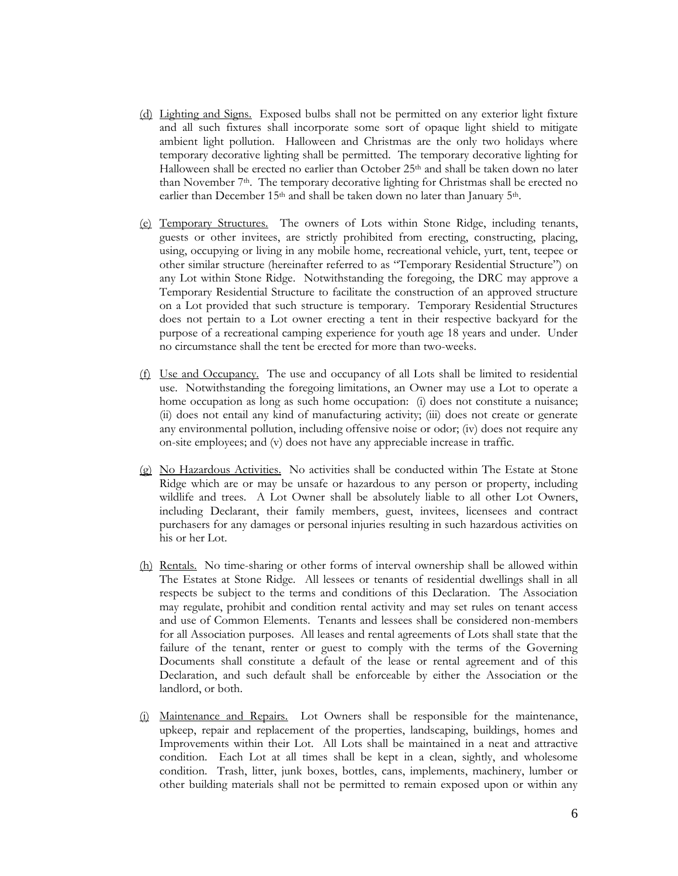- (d) Lighting and Signs. Exposed bulbs shall not be permitted on any exterior light fixture and all such fixtures shall incorporate some sort of opaque light shield to mitigate ambient light pollution. Halloween and Christmas are the only two holidays where temporary decorative lighting shall be permitted. The temporary decorative lighting for Halloween shall be erected no earlier than October  $25<sup>th</sup>$  and shall be taken down no later than November  $7<sup>th</sup>$ . The temporary decorative lighting for Christmas shall be erected no earlier than December 15<sup>th</sup> and shall be taken down no later than January 5<sup>th</sup>.
- (e) Temporary Structures. The owners of Lots within Stone Ridge, including tenants, guests or other invitees, are strictly prohibited from erecting, constructing, placing, using, occupying or living in any mobile home, recreational vehicle, yurt, tent, teepee or other similar structure (hereinafter referred to as "Temporary Residential Structure") on any Lot within Stone Ridge. Notwithstanding the foregoing, the DRC may approve a Temporary Residential Structure to facilitate the construction of an approved structure on a Lot provided that such structure is temporary. Temporary Residential Structures does not pertain to a Lot owner erecting a tent in their respective backyard for the purpose of a recreational camping experience for youth age 18 years and under. Under no circumstance shall the tent be erected for more than two-weeks.
- (f) Use and Occupancy. The use and occupancy of all Lots shall be limited to residential use. Notwithstanding the foregoing limitations, an Owner may use a Lot to operate a home occupation as long as such home occupation: (i) does not constitute a nuisance; (ii) does not entail any kind of manufacturing activity; (iii) does not create or generate any environmental pollution, including offensive noise or odor; (iv) does not require any on-site employees; and (v) does not have any appreciable increase in traffic.
- (g) No Hazardous Activities. No activities shall be conducted within The Estate at Stone Ridge which are or may be unsafe or hazardous to any person or property, including wildlife and trees. A Lot Owner shall be absolutely liable to all other Lot Owners, including Declarant, their family members, guest, invitees, licensees and contract purchasers for any damages or personal injuries resulting in such hazardous activities on his or her Lot.
- (h) Rentals. No time-sharing or other forms of interval ownership shall be allowed within The Estates at Stone Ridge. All lessees or tenants of residential dwellings shall in all respects be subject to the terms and conditions of this Declaration. The Association may regulate, prohibit and condition rental activity and may set rules on tenant access and use of Common Elements. Tenants and lessees shall be considered non-members for all Association purposes. All leases and rental agreements of Lots shall state that the failure of the tenant, renter or guest to comply with the terms of the Governing Documents shall constitute a default of the lease or rental agreement and of this Declaration, and such default shall be enforceable by either the Association or the landlord, or both.
- (i) Maintenance and Repairs. Lot Owners shall be responsible for the maintenance, upkeep, repair and replacement of the properties, landscaping, buildings, homes and Improvements within their Lot. All Lots shall be maintained in a neat and attractive condition. Each Lot at all times shall be kept in a clean, sightly, and wholesome condition. Trash, litter, junk boxes, bottles, cans, implements, machinery, lumber or other building materials shall not be permitted to remain exposed upon or within any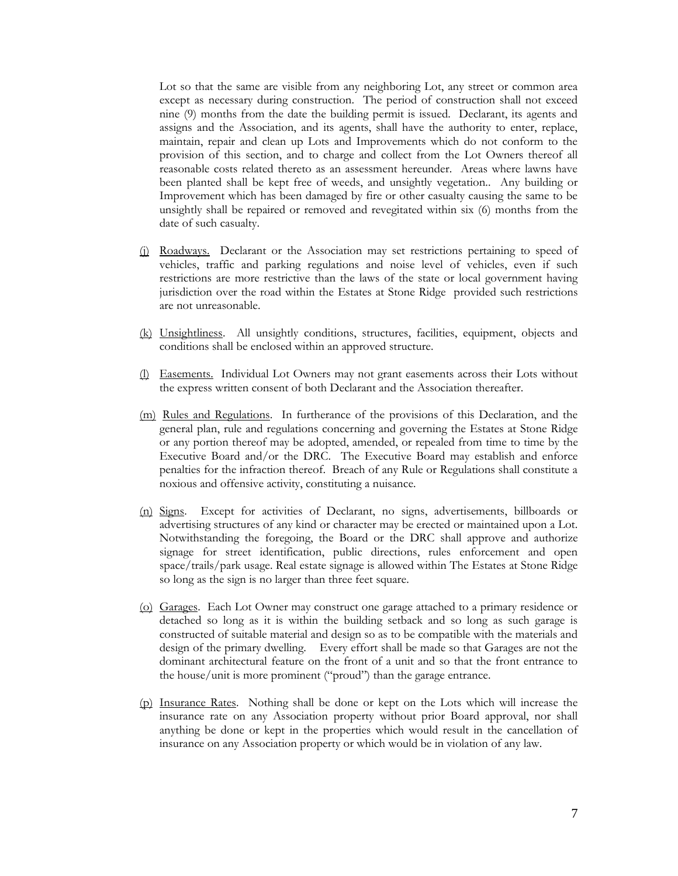Lot so that the same are visible from any neighboring Lot, any street or common area except as necessary during construction. The period of construction shall not exceed nine (9) months from the date the building permit is issued. Declarant, its agents and assigns and the Association, and its agents, shall have the authority to enter, replace, maintain, repair and clean up Lots and Improvements which do not conform to the provision of this section, and to charge and collect from the Lot Owners thereof all reasonable costs related thereto as an assessment hereunder. Areas where lawns have been planted shall be kept free of weeds, and unsightly vegetation.. Any building or Improvement which has been damaged by fire or other casualty causing the same to be unsightly shall be repaired or removed and revegitated within six (6) months from the date of such casualty.

- (j) Roadways. Declarant or the Association may set restrictions pertaining to speed of vehicles, traffic and parking regulations and noise level of vehicles, even if such restrictions are more restrictive than the laws of the state or local government having jurisdiction over the road within the Estates at Stone Ridge provided such restrictions are not unreasonable.
- (k) Unsightliness. All unsightly conditions, structures, facilities, equipment, objects and conditions shall be enclosed within an approved structure.
- (l) Easements. Individual Lot Owners may not grant easements across their Lots without the express written consent of both Declarant and the Association thereafter.
- (m) Rules and Regulations. In furtherance of the provisions of this Declaration, and the general plan, rule and regulations concerning and governing the Estates at Stone Ridge or any portion thereof may be adopted, amended, or repealed from time to time by the Executive Board and/or the DRC. The Executive Board may establish and enforce penalties for the infraction thereof. Breach of any Rule or Regulations shall constitute a noxious and offensive activity, constituting a nuisance.
- (n) Signs. Except for activities of Declarant, no signs, advertisements, billboards or advertising structures of any kind or character may be erected or maintained upon a Lot. Notwithstanding the foregoing, the Board or the DRC shall approve and authorize signage for street identification, public directions, rules enforcement and open space/trails/park usage. Real estate signage is allowed within The Estates at Stone Ridge so long as the sign is no larger than three feet square.
- (o) Garages. Each Lot Owner may construct one garage attached to a primary residence or detached so long as it is within the building setback and so long as such garage is constructed of suitable material and design so as to be compatible with the materials and design of the primary dwelling. Every effort shall be made so that Garages are not the dominant architectural feature on the front of a unit and so that the front entrance to the house/unit is more prominent ("proud") than the garage entrance.
- (p) Insurance Rates. Nothing shall be done or kept on the Lots which will increase the insurance rate on any Association property without prior Board approval, nor shall anything be done or kept in the properties which would result in the cancellation of insurance on any Association property or which would be in violation of any law.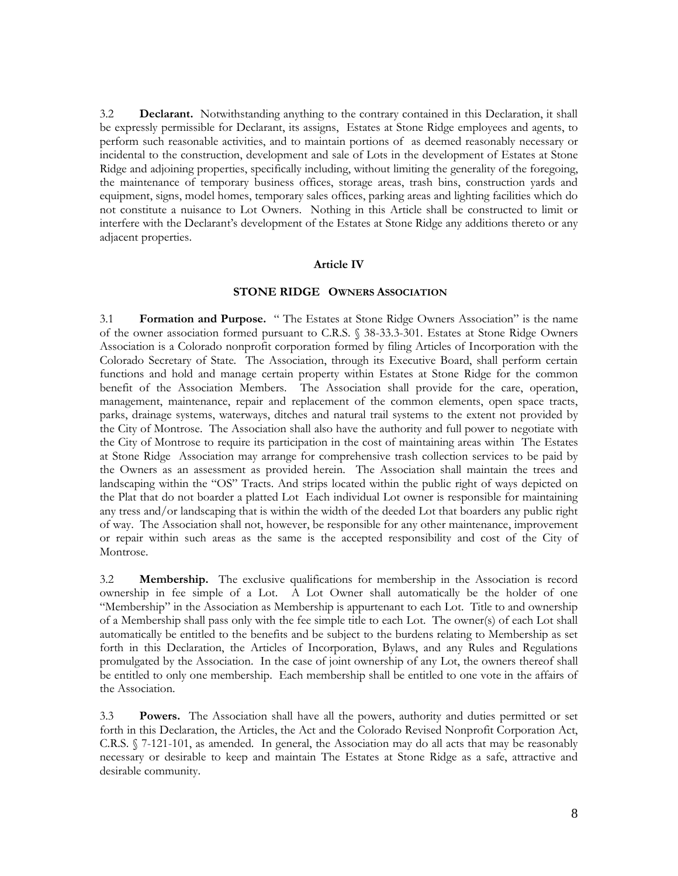3.2 **Declarant.** Notwithstanding anything to the contrary contained in this Declaration, it shall be expressly permissible for Declarant, its assigns, Estates at Stone Ridge employees and agents, to perform such reasonable activities, and to maintain portions of as deemed reasonably necessary or incidental to the construction, development and sale of Lots in the development of Estates at Stone Ridge and adjoining properties, specifically including, without limiting the generality of the foregoing, the maintenance of temporary business offices, storage areas, trash bins, construction yards and equipment, signs, model homes, temporary sales offices, parking areas and lighting facilities which do not constitute a nuisance to Lot Owners. Nothing in this Article shall be constructed to limit or interfere with the Declarant's development of the Estates at Stone Ridge any additions thereto or any adjacent properties.

### **Article IV**

# **STONE RIDGE OWNERS ASSOCIATION**

3.1 **Formation and Purpose.** " The Estates at Stone Ridge Owners Association" is the name of the owner association formed pursuant to C.R.S. § 38-33.3-301. Estates at Stone Ridge Owners Association is a Colorado nonprofit corporation formed by filing Articles of Incorporation with the Colorado Secretary of State. The Association, through its Executive Board, shall perform certain functions and hold and manage certain property within Estates at Stone Ridge for the common benefit of the Association Members. The Association shall provide for the care, operation, management, maintenance, repair and replacement of the common elements, open space tracts, parks, drainage systems, waterways, ditches and natural trail systems to the extent not provided by the City of Montrose. The Association shall also have the authority and full power to negotiate with the City of Montrose to require its participation in the cost of maintaining areas within The Estates at Stone Ridge Association may arrange for comprehensive trash collection services to be paid by the Owners as an assessment as provided herein. The Association shall maintain the trees and landscaping within the "OS" Tracts. And strips located within the public right of ways depicted on the Plat that do not boarder a platted Lot Each individual Lot owner is responsible for maintaining any tress and/or landscaping that is within the width of the deeded Lot that boarders any public right of way. The Association shall not, however, be responsible for any other maintenance, improvement or repair within such areas as the same is the accepted responsibility and cost of the City of Montrose.

3.2 **Membership.** The exclusive qualifications for membership in the Association is record ownership in fee simple of a Lot. A Lot Owner shall automatically be the holder of one "Membership" in the Association as Membership is appurtenant to each Lot. Title to and ownership of a Membership shall pass only with the fee simple title to each Lot. The owner(s) of each Lot shall automatically be entitled to the benefits and be subject to the burdens relating to Membership as set forth in this Declaration, the Articles of Incorporation, Bylaws, and any Rules and Regulations promulgated by the Association. In the case of joint ownership of any Lot, the owners thereof shall be entitled to only one membership. Each membership shall be entitled to one vote in the affairs of the Association.

3.3 **Powers.** The Association shall have all the powers, authority and duties permitted or set forth in this Declaration, the Articles, the Act and the Colorado Revised Nonprofit Corporation Act, C.R.S. § 7-121-101, as amended. In general, the Association may do all acts that may be reasonably necessary or desirable to keep and maintain The Estates at Stone Ridge as a safe, attractive and desirable community.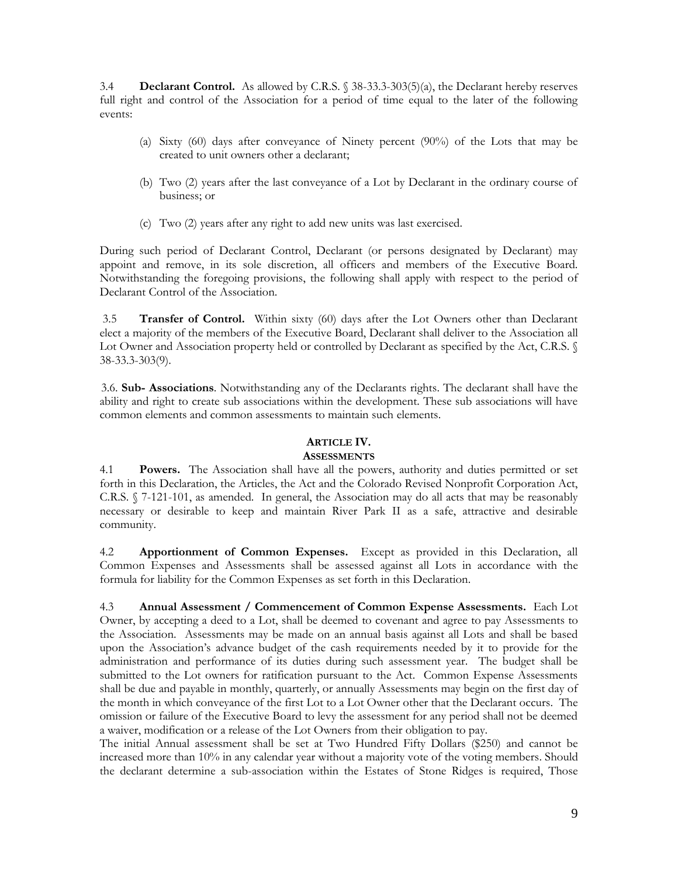3.4 **Declarant Control.** As allowed by C.R.S. § 38-33.3-303(5)(a), the Declarant hereby reserves full right and control of the Association for a period of time equal to the later of the following events:

- (a) Sixty (60) days after conveyance of Ninety percent (90%) of the Lots that may be created to unit owners other a declarant;
- (b) Two (2) years after the last conveyance of a Lot by Declarant in the ordinary course of business; or
- (c) Two (2) years after any right to add new units was last exercised.

During such period of Declarant Control, Declarant (or persons designated by Declarant) may appoint and remove, in its sole discretion, all officers and members of the Executive Board. Notwithstanding the foregoing provisions, the following shall apply with respect to the period of Declarant Control of the Association.

3.5 **Transfer of Control.** Within sixty (60) days after the Lot Owners other than Declarant elect a majority of the members of the Executive Board, Declarant shall deliver to the Association all Lot Owner and Association property held or controlled by Declarant as specified by the Act, C.R.S. § 38-33.3-303(9).

 3.6. **Sub- Associations**. Notwithstanding any of the Declarants rights. The declarant shall have the ability and right to create sub associations within the development. These sub associations will have common elements and common assessments to maintain such elements.

# **ARTICLE IV.**

# **ASSESSMENTS**

4.1 **Powers.** The Association shall have all the powers, authority and duties permitted or set forth in this Declaration, the Articles, the Act and the Colorado Revised Nonprofit Corporation Act, C.R.S. § 7-121-101, as amended. In general, the Association may do all acts that may be reasonably necessary or desirable to keep and maintain River Park II as a safe, attractive and desirable community.

4.2 **Apportionment of Common Expenses.** Except as provided in this Declaration, all Common Expenses and Assessments shall be assessed against all Lots in accordance with the formula for liability for the Common Expenses as set forth in this Declaration.

4.3 **Annual Assessment / Commencement of Common Expense Assessments.** Each Lot Owner, by accepting a deed to a Lot, shall be deemed to covenant and agree to pay Assessments to the Association. Assessments may be made on an annual basis against all Lots and shall be based upon the Association's advance budget of the cash requirements needed by it to provide for the administration and performance of its duties during such assessment year. The budget shall be submitted to the Lot owners for ratification pursuant to the Act. Common Expense Assessments shall be due and payable in monthly, quarterly, or annually Assessments may begin on the first day of the month in which conveyance of the first Lot to a Lot Owner other that the Declarant occurs. The omission or failure of the Executive Board to levy the assessment for any period shall not be deemed a waiver, modification or a release of the Lot Owners from their obligation to pay.

The initial Annual assessment shall be set at Two Hundred Fifty Dollars (\$250) and cannot be increased more than 10% in any calendar year without a majority vote of the voting members. Should the declarant determine a sub-association within the Estates of Stone Ridges is required, Those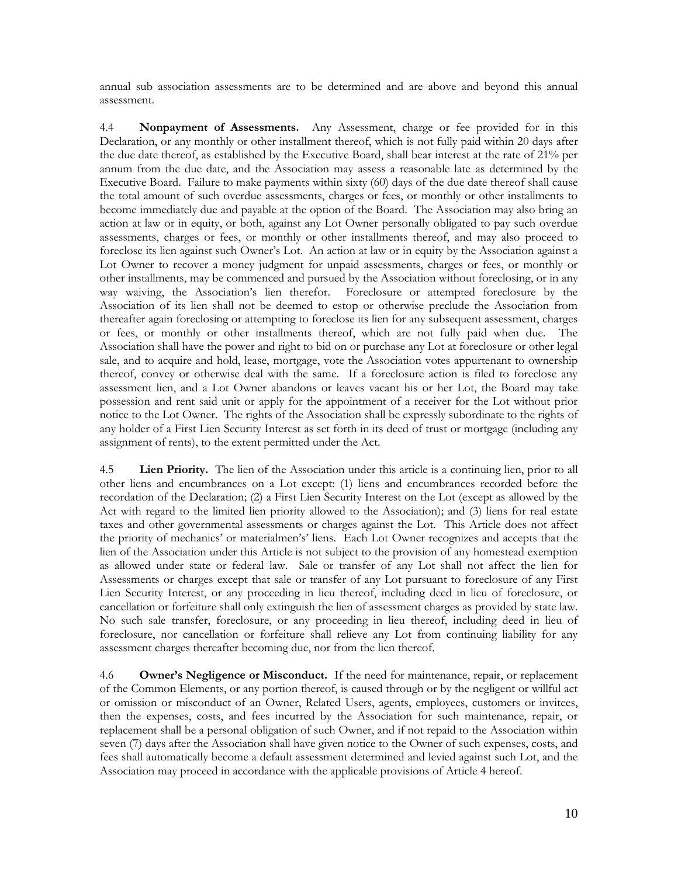annual sub association assessments are to be determined and are above and beyond this annual assessment.

4.4 **Nonpayment of Assessments.** Any Assessment, charge or fee provided for in this Declaration, or any monthly or other installment thereof, which is not fully paid within 20 days after the due date thereof, as established by the Executive Board, shall bear interest at the rate of 21% per annum from the due date, and the Association may assess a reasonable late as determined by the Executive Board. Failure to make payments within sixty (60) days of the due date thereof shall cause the total amount of such overdue assessments, charges or fees, or monthly or other installments to become immediately due and payable at the option of the Board. The Association may also bring an action at law or in equity, or both, against any Lot Owner personally obligated to pay such overdue assessments, charges or fees, or monthly or other installments thereof, and may also proceed to foreclose its lien against such Owner's Lot. An action at law or in equity by the Association against a Lot Owner to recover a money judgment for unpaid assessments, charges or fees, or monthly or other installments, may be commenced and pursued by the Association without foreclosing, or in any way waiving, the Association's lien therefor. Foreclosure or attempted foreclosure by the Association of its lien shall not be deemed to estop or otherwise preclude the Association from thereafter again foreclosing or attempting to foreclose its lien for any subsequent assessment, charges or fees, or monthly or other installments thereof, which are not fully paid when due. The Association shall have the power and right to bid on or purchase any Lot at foreclosure or other legal sale, and to acquire and hold, lease, mortgage, vote the Association votes appurtenant to ownership thereof, convey or otherwise deal with the same. If a foreclosure action is filed to foreclose any assessment lien, and a Lot Owner abandons or leaves vacant his or her Lot, the Board may take possession and rent said unit or apply for the appointment of a receiver for the Lot without prior notice to the Lot Owner. The rights of the Association shall be expressly subordinate to the rights of any holder of a First Lien Security Interest as set forth in its deed of trust or mortgage (including any assignment of rents), to the extent permitted under the Act.

4.5 **Lien Priority.** The lien of the Association under this article is a continuing lien, prior to all other liens and encumbrances on a Lot except: (1) liens and encumbrances recorded before the recordation of the Declaration; (2) a First Lien Security Interest on the Lot (except as allowed by the Act with regard to the limited lien priority allowed to the Association); and (3) liens for real estate taxes and other governmental assessments or charges against the Lot. This Article does not affect the priority of mechanics' or materialmen's' liens. Each Lot Owner recognizes and accepts that the lien of the Association under this Article is not subject to the provision of any homestead exemption as allowed under state or federal law. Sale or transfer of any Lot shall not affect the lien for Assessments or charges except that sale or transfer of any Lot pursuant to foreclosure of any First Lien Security Interest, or any proceeding in lieu thereof, including deed in lieu of foreclosure, or cancellation or forfeiture shall only extinguish the lien of assessment charges as provided by state law. No such sale transfer, foreclosure, or any proceeding in lieu thereof, including deed in lieu of foreclosure, nor cancellation or forfeiture shall relieve any Lot from continuing liability for any assessment charges thereafter becoming due, nor from the lien thereof.

4.6 **Owner's Negligence or Misconduct.** If the need for maintenance, repair, or replacement of the Common Elements, or any portion thereof, is caused through or by the negligent or willful act or omission or misconduct of an Owner, Related Users, agents, employees, customers or invitees, then the expenses, costs, and fees incurred by the Association for such maintenance, repair, or replacement shall be a personal obligation of such Owner, and if not repaid to the Association within seven (7) days after the Association shall have given notice to the Owner of such expenses, costs, and fees shall automatically become a default assessment determined and levied against such Lot, and the Association may proceed in accordance with the applicable provisions of Article 4 hereof.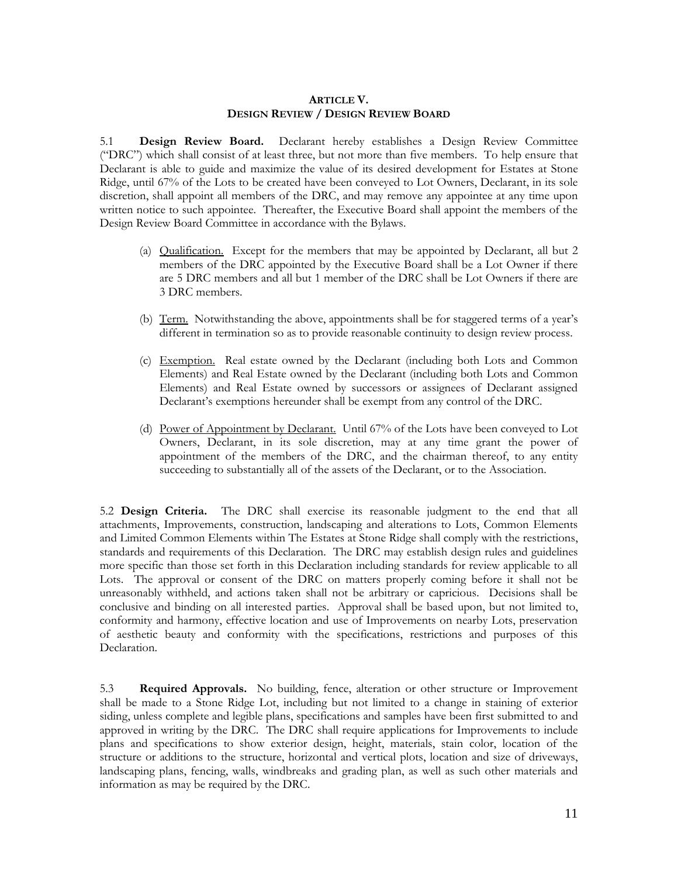# **ARTICLE V. DESIGN REVIEW / DESIGN REVIEW BOARD**

5.1 **Design Review Board.** Declarant hereby establishes a Design Review Committee ("DRC") which shall consist of at least three, but not more than five members. To help ensure that Declarant is able to guide and maximize the value of its desired development for Estates at Stone Ridge, until 67% of the Lots to be created have been conveyed to Lot Owners, Declarant, in its sole discretion, shall appoint all members of the DRC, and may remove any appointee at any time upon written notice to such appointee. Thereafter, the Executive Board shall appoint the members of the Design Review Board Committee in accordance with the Bylaws.

- (a) Qualification. Except for the members that may be appointed by Declarant, all but 2 members of the DRC appointed by the Executive Board shall be a Lot Owner if there are 5 DRC members and all but 1 member of the DRC shall be Lot Owners if there are 3 DRC members.
- (b) Term. Notwithstanding the above, appointments shall be for staggered terms of a year's different in termination so as to provide reasonable continuity to design review process.
- (c) Exemption. Real estate owned by the Declarant (including both Lots and Common Elements) and Real Estate owned by the Declarant (including both Lots and Common Elements) and Real Estate owned by successors or assignees of Declarant assigned Declarant's exemptions hereunder shall be exempt from any control of the DRC.
- (d) Power of Appointment by Declarant. Until 67% of the Lots have been conveyed to Lot Owners, Declarant, in its sole discretion, may at any time grant the power of appointment of the members of the DRC, and the chairman thereof, to any entity succeeding to substantially all of the assets of the Declarant, or to the Association.

5.2 **Design Criteria.** The DRC shall exercise its reasonable judgment to the end that all attachments, Improvements, construction, landscaping and alterations to Lots, Common Elements and Limited Common Elements within The Estates at Stone Ridge shall comply with the restrictions, standards and requirements of this Declaration. The DRC may establish design rules and guidelines more specific than those set forth in this Declaration including standards for review applicable to all Lots. The approval or consent of the DRC on matters properly coming before it shall not be unreasonably withheld, and actions taken shall not be arbitrary or capricious. Decisions shall be conclusive and binding on all interested parties. Approval shall be based upon, but not limited to, conformity and harmony, effective location and use of Improvements on nearby Lots, preservation of aesthetic beauty and conformity with the specifications, restrictions and purposes of this Declaration.

5.3 **Required Approvals.** No building, fence, alteration or other structure or Improvement shall be made to a Stone Ridge Lot, including but not limited to a change in staining of exterior siding, unless complete and legible plans, specifications and samples have been first submitted to and approved in writing by the DRC. The DRC shall require applications for Improvements to include plans and specifications to show exterior design, height, materials, stain color, location of the structure or additions to the structure, horizontal and vertical plots, location and size of driveways, landscaping plans, fencing, walls, windbreaks and grading plan, as well as such other materials and information as may be required by the DRC.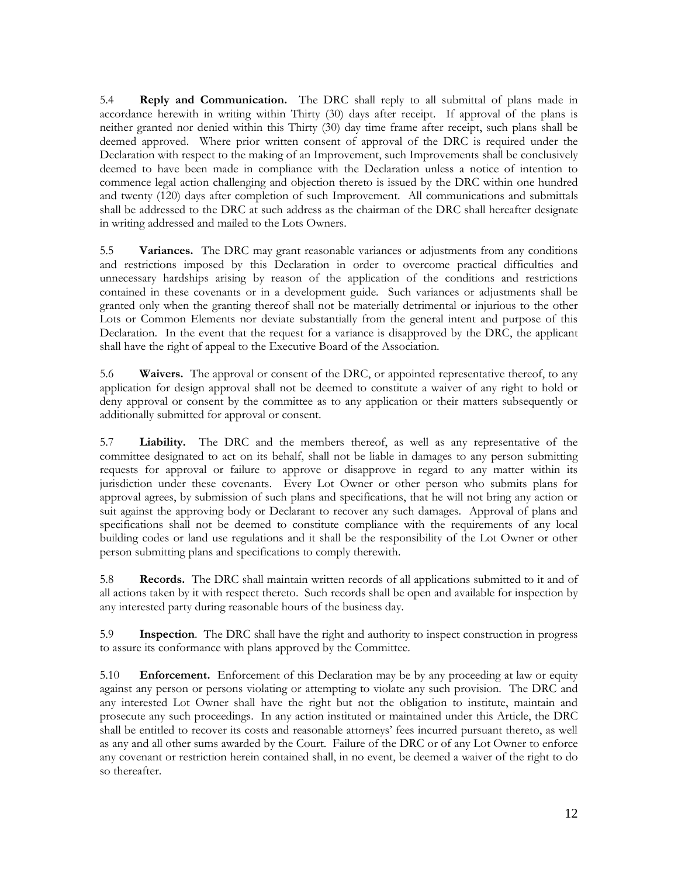5.4 **Reply and Communication.** The DRC shall reply to all submittal of plans made in accordance herewith in writing within Thirty (30) days after receipt. If approval of the plans is neither granted nor denied within this Thirty (30) day time frame after receipt, such plans shall be deemed approved. Where prior written consent of approval of the DRC is required under the Declaration with respect to the making of an Improvement, such Improvements shall be conclusively deemed to have been made in compliance with the Declaration unless a notice of intention to commence legal action challenging and objection thereto is issued by the DRC within one hundred and twenty (120) days after completion of such Improvement. All communications and submittals shall be addressed to the DRC at such address as the chairman of the DRC shall hereafter designate in writing addressed and mailed to the Lots Owners.

5.5 **Variances.** The DRC may grant reasonable variances or adjustments from any conditions and restrictions imposed by this Declaration in order to overcome practical difficulties and unnecessary hardships arising by reason of the application of the conditions and restrictions contained in these covenants or in a development guide. Such variances or adjustments shall be granted only when the granting thereof shall not be materially detrimental or injurious to the other Lots or Common Elements nor deviate substantially from the general intent and purpose of this Declaration. In the event that the request for a variance is disapproved by the DRC, the applicant shall have the right of appeal to the Executive Board of the Association.

5.6 **Waivers.** The approval or consent of the DRC, or appointed representative thereof, to any application for design approval shall not be deemed to constitute a waiver of any right to hold or deny approval or consent by the committee as to any application or their matters subsequently or additionally submitted for approval or consent.

5.7 **Liability.** The DRC and the members thereof, as well as any representative of the committee designated to act on its behalf, shall not be liable in damages to any person submitting requests for approval or failure to approve or disapprove in regard to any matter within its jurisdiction under these covenants. Every Lot Owner or other person who submits plans for approval agrees, by submission of such plans and specifications, that he will not bring any action or suit against the approving body or Declarant to recover any such damages. Approval of plans and specifications shall not be deemed to constitute compliance with the requirements of any local building codes or land use regulations and it shall be the responsibility of the Lot Owner or other person submitting plans and specifications to comply therewith.

5.8 **Records.** The DRC shall maintain written records of all applications submitted to it and of all actions taken by it with respect thereto. Such records shall be open and available for inspection by any interested party during reasonable hours of the business day.

5.9 **Inspection**. The DRC shall have the right and authority to inspect construction in progress to assure its conformance with plans approved by the Committee.

5.10 **Enforcement.** Enforcement of this Declaration may be by any proceeding at law or equity against any person or persons violating or attempting to violate any such provision. The DRC and any interested Lot Owner shall have the right but not the obligation to institute, maintain and prosecute any such proceedings. In any action instituted or maintained under this Article, the DRC shall be entitled to recover its costs and reasonable attorneys' fees incurred pursuant thereto, as well as any and all other sums awarded by the Court. Failure of the DRC or of any Lot Owner to enforce any covenant or restriction herein contained shall, in no event, be deemed a waiver of the right to do so thereafter.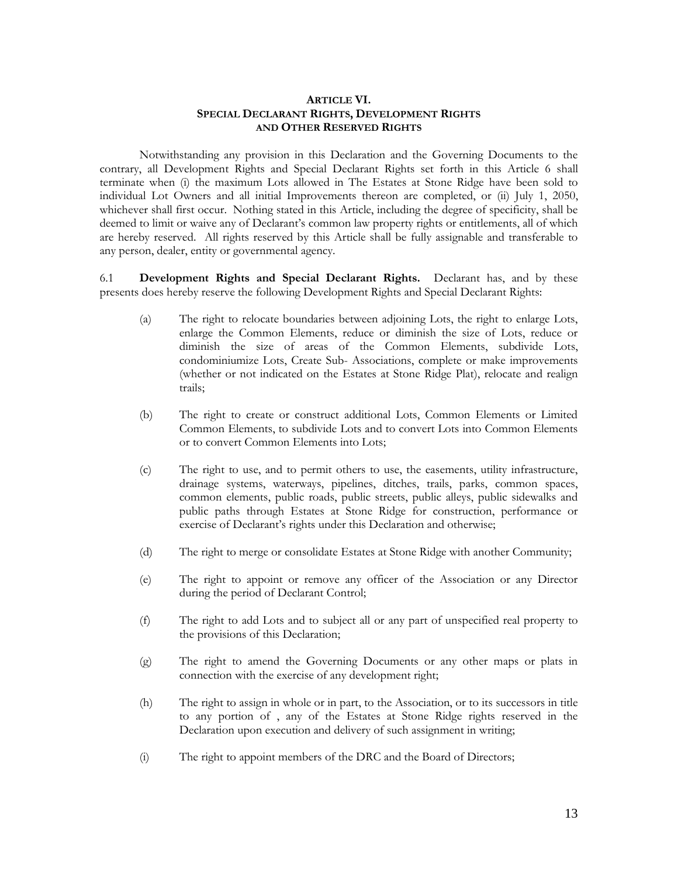# **ARTICLE VI. SPECIAL DECLARANT RIGHTS, DEVELOPMENT RIGHTS AND OTHER RESERVED RIGHTS**

Notwithstanding any provision in this Declaration and the Governing Documents to the contrary, all Development Rights and Special Declarant Rights set forth in this Article 6 shall terminate when (i) the maximum Lots allowed in The Estates at Stone Ridge have been sold to individual Lot Owners and all initial Improvements thereon are completed, or (ii) July 1, 2050, whichever shall first occur. Nothing stated in this Article, including the degree of specificity, shall be deemed to limit or waive any of Declarant's common law property rights or entitlements, all of which are hereby reserved. All rights reserved by this Article shall be fully assignable and transferable to any person, dealer, entity or governmental agency.

6.1 **Development Rights and Special Declarant Rights.** Declarant has, and by these presents does hereby reserve the following Development Rights and Special Declarant Rights:

- (a) The right to relocate boundaries between adjoining Lots, the right to enlarge Lots, enlarge the Common Elements, reduce or diminish the size of Lots, reduce or diminish the size of areas of the Common Elements, subdivide Lots, condominiumize Lots, Create Sub- Associations, complete or make improvements (whether or not indicated on the Estates at Stone Ridge Plat), relocate and realign trails;
- (b) The right to create or construct additional Lots, Common Elements or Limited Common Elements, to subdivide Lots and to convert Lots into Common Elements or to convert Common Elements into Lots;
- (c) The right to use, and to permit others to use, the easements, utility infrastructure, drainage systems, waterways, pipelines, ditches, trails, parks, common spaces, common elements, public roads, public streets, public alleys, public sidewalks and public paths through Estates at Stone Ridge for construction, performance or exercise of Declarant's rights under this Declaration and otherwise;
- (d) The right to merge or consolidate Estates at Stone Ridge with another Community;
- (e) The right to appoint or remove any officer of the Association or any Director during the period of Declarant Control;
- (f) The right to add Lots and to subject all or any part of unspecified real property to the provisions of this Declaration;
- (g) The right to amend the Governing Documents or any other maps or plats in connection with the exercise of any development right;
- (h) The right to assign in whole or in part, to the Association, or to its successors in title to any portion of , any of the Estates at Stone Ridge rights reserved in the Declaration upon execution and delivery of such assignment in writing;
- (i) The right to appoint members of the DRC and the Board of Directors;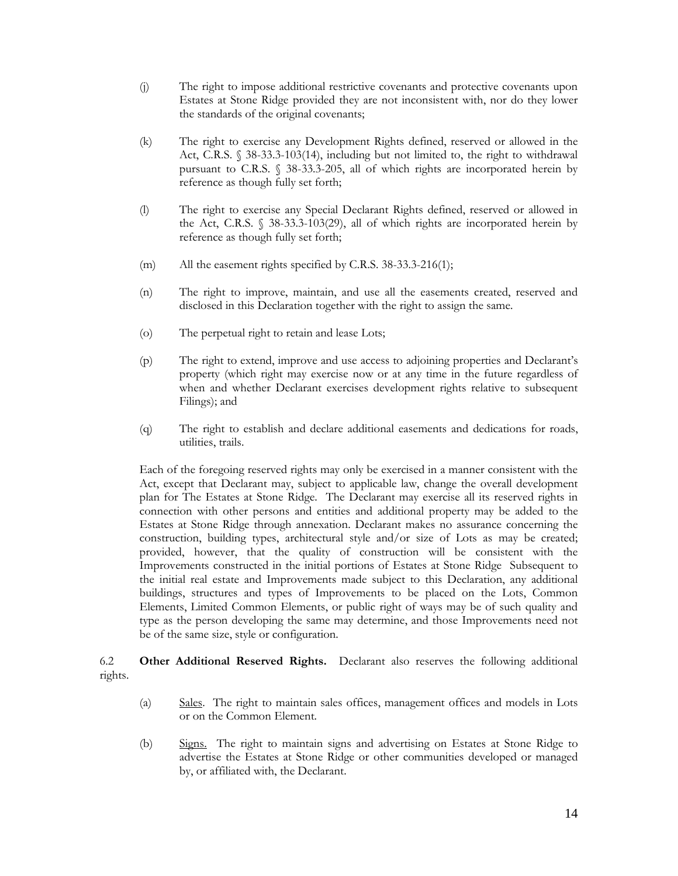- (j) The right to impose additional restrictive covenants and protective covenants upon Estates at Stone Ridge provided they are not inconsistent with, nor do they lower the standards of the original covenants;
- (k) The right to exercise any Development Rights defined, reserved or allowed in the Act, C.R.S. § 38-33.3-103(14), including but not limited to, the right to withdrawal pursuant to C.R.S. § 38-33.3-205, all of which rights are incorporated herein by reference as though fully set forth;
- (l) The right to exercise any Special Declarant Rights defined, reserved or allowed in the Act, C.R.S. § 38-33.3-103(29), all of which rights are incorporated herein by reference as though fully set forth;
- (m) All the easement rights specified by C.R.S. 38-33.3-216(1);
- (n) The right to improve, maintain, and use all the easements created, reserved and disclosed in this Declaration together with the right to assign the same.
- (o) The perpetual right to retain and lease Lots;
- (p) The right to extend, improve and use access to adjoining properties and Declarant's property (which right may exercise now or at any time in the future regardless of when and whether Declarant exercises development rights relative to subsequent Filings); and
- (q) The right to establish and declare additional easements and dedications for roads, utilities, trails.

Each of the foregoing reserved rights may only be exercised in a manner consistent with the Act, except that Declarant may, subject to applicable law, change the overall development plan for The Estates at Stone Ridge. The Declarant may exercise all its reserved rights in connection with other persons and entities and additional property may be added to the Estates at Stone Ridge through annexation. Declarant makes no assurance concerning the construction, building types, architectural style and/or size of Lots as may be created; provided, however, that the quality of construction will be consistent with the Improvements constructed in the initial portions of Estates at Stone Ridge Subsequent to the initial real estate and Improvements made subject to this Declaration, any additional buildings, structures and types of Improvements to be placed on the Lots, Common Elements, Limited Common Elements, or public right of ways may be of such quality and type as the person developing the same may determine, and those Improvements need not be of the same size, style or configuration.

6.2 **Other Additional Reserved Rights.** Declarant also reserves the following additional rights.

- (a) Sales. The right to maintain sales offices, management offices and models in Lots or on the Common Element.
- (b) Signs. The right to maintain signs and advertising on Estates at Stone Ridge to advertise the Estates at Stone Ridge or other communities developed or managed by, or affiliated with, the Declarant.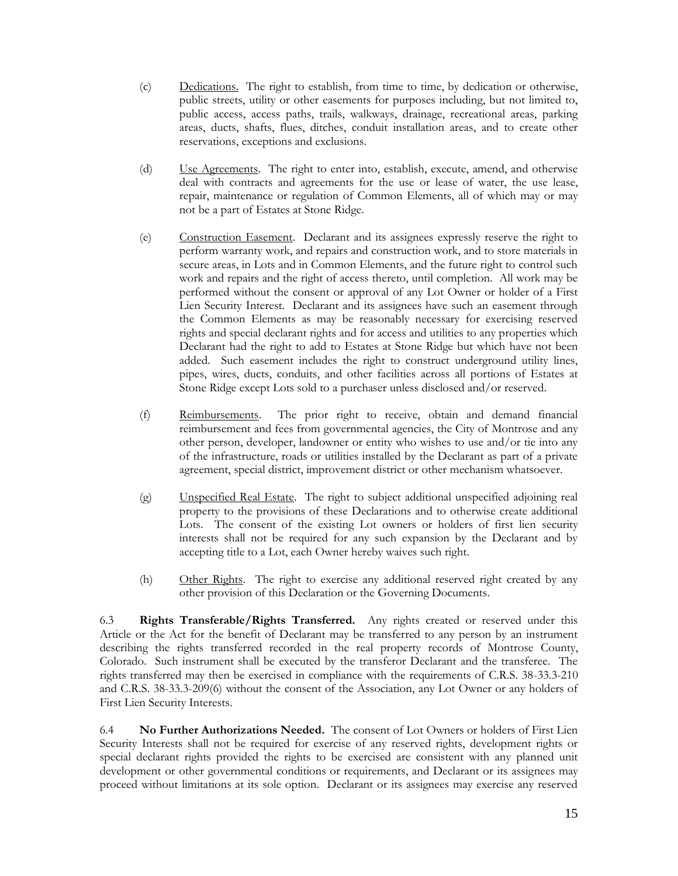- (c) Dedications. The right to establish, from time to time, by dedication or otherwise, public streets, utility or other easements for purposes including, but not limited to, public access, access paths, trails, walkways, drainage, recreational areas, parking areas, ducts, shafts, flues, ditches, conduit installation areas, and to create other reservations, exceptions and exclusions.
- (d) Use Agreements. The right to enter into, establish, execute, amend, and otherwise deal with contracts and agreements for the use or lease of water, the use lease, repair, maintenance or regulation of Common Elements, all of which may or may not be a part of Estates at Stone Ridge.
- (e) Construction Easement. Declarant and its assignees expressly reserve the right to perform warranty work, and repairs and construction work, and to store materials in secure areas, in Lots and in Common Elements, and the future right to control such work and repairs and the right of access thereto, until completion. All work may be performed without the consent or approval of any Lot Owner or holder of a First Lien Security Interest. Declarant and its assignees have such an easement through the Common Elements as may be reasonably necessary for exercising reserved rights and special declarant rights and for access and utilities to any properties which Declarant had the right to add to Estates at Stone Ridge but which have not been added. Such easement includes the right to construct underground utility lines, pipes, wires, ducts, conduits, and other facilities across all portions of Estates at Stone Ridge except Lots sold to a purchaser unless disclosed and/or reserved.
- (f) Reimbursements. The prior right to receive, obtain and demand financial reimbursement and fees from governmental agencies, the City of Montrose and any other person, developer, landowner or entity who wishes to use and/or tie into any of the infrastructure, roads or utilities installed by the Declarant as part of a private agreement, special district, improvement district or other mechanism whatsoever.
- (g) Unspecified Real Estate. The right to subject additional unspecified adjoining real property to the provisions of these Declarations and to otherwise create additional Lots. The consent of the existing Lot owners or holders of first lien security interests shall not be required for any such expansion by the Declarant and by accepting title to a Lot, each Owner hereby waives such right.
- (h) Other Rights. The right to exercise any additional reserved right created by any other provision of this Declaration or the Governing Documents.

6.3 **Rights Transferable/Rights Transferred.** Any rights created or reserved under this Article or the Act for the benefit of Declarant may be transferred to any person by an instrument describing the rights transferred recorded in the real property records of Montrose County, Colorado. Such instrument shall be executed by the transferor Declarant and the transferee. The rights transferred may then be exercised in compliance with the requirements of C.R.S. 38-33.3-210 and C.R.S. 38-33.3-209(6) without the consent of the Association, any Lot Owner or any holders of First Lien Security Interests.

6.4 **No Further Authorizations Needed.** The consent of Lot Owners or holders of First Lien Security Interests shall not be required for exercise of any reserved rights, development rights or special declarant rights provided the rights to be exercised are consistent with any planned unit development or other governmental conditions or requirements, and Declarant or its assignees may proceed without limitations at its sole option. Declarant or its assignees may exercise any reserved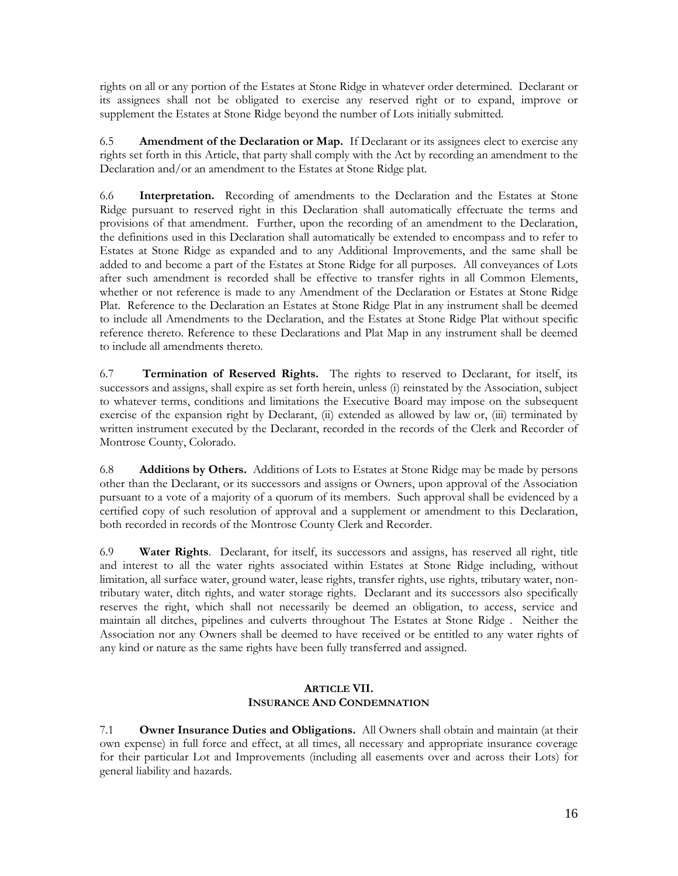rights on all or any portion of the Estates at Stone Ridge in whatever order determined. Declarant or its assignees shall not be obligated to exercise any reserved right or to expand, improve or supplement the Estates at Stone Ridge beyond the number of Lots initially submitted.

6.5 **Amendment of the Declaration or Map.** If Declarant or its assignees elect to exercise any rights set forth in this Article, that party shall comply with the Act by recording an amendment to the Declaration and/or an amendment to the Estates at Stone Ridge plat.

6.6 **Interpretation.** Recording of amendments to the Declaration and the Estates at Stone Ridge pursuant to reserved right in this Declaration shall automatically effectuate the terms and provisions of that amendment. Further, upon the recording of an amendment to the Declaration, the definitions used in this Declaration shall automatically be extended to encompass and to refer to Estates at Stone Ridge as expanded and to any Additional Improvements, and the same shall be added to and become a part of the Estates at Stone Ridge for all purposes. All conveyances of Lots after such amendment is recorded shall be effective to transfer rights in all Common Elements, whether or not reference is made to any Amendment of the Declaration or Estates at Stone Ridge Plat. Reference to the Declaration an Estates at Stone Ridge Plat in any instrument shall be deemed to include all Amendments to the Declaration, and the Estates at Stone Ridge Plat without specific reference thereto. Reference to these Declarations and Plat Map in any instrument shall be deemed to include all amendments thereto.

6.7 **Termination of Reserved Rights.** The rights to reserved to Declarant, for itself, its successors and assigns, shall expire as set forth herein, unless (i) reinstated by the Association, subject to whatever terms, conditions and limitations the Executive Board may impose on the subsequent exercise of the expansion right by Declarant, (ii) extended as allowed by law or, (iii) terminated by written instrument executed by the Declarant, recorded in the records of the Clerk and Recorder of Montrose County, Colorado.

6.8 **Additions by Others.** Additions of Lots to Estates at Stone Ridge may be made by persons other than the Declarant, or its successors and assigns or Owners, upon approval of the Association pursuant to a vote of a majority of a quorum of its members. Such approval shall be evidenced by a certified copy of such resolution of approval and a supplement or amendment to this Declaration, both recorded in records of the Montrose County Clerk and Recorder.

6.9 **Water Rights**. Declarant, for itself, its successors and assigns, has reserved all right, title and interest to all the water rights associated within Estates at Stone Ridge including, without limitation, all surface water, ground water, lease rights, transfer rights, use rights, tributary water, nontributary water, ditch rights, and water storage rights. Declarant and its successors also specifically reserves the right, which shall not necessarily be deemed an obligation, to access, service and maintain all ditches, pipelines and culverts throughout The Estates at Stone Ridge . Neither the Association nor any Owners shall be deemed to have received or be entitled to any water rights of any kind or nature as the same rights have been fully transferred and assigned.

# **ARTICLE VII. INSURANCE AND CONDEMNATION**

7.1 **Owner Insurance Duties and Obligations.** All Owners shall obtain and maintain (at their own expense) in full force and effect, at all times, all necessary and appropriate insurance coverage for their particular Lot and Improvements (including all easements over and across their Lots) for general liability and hazards.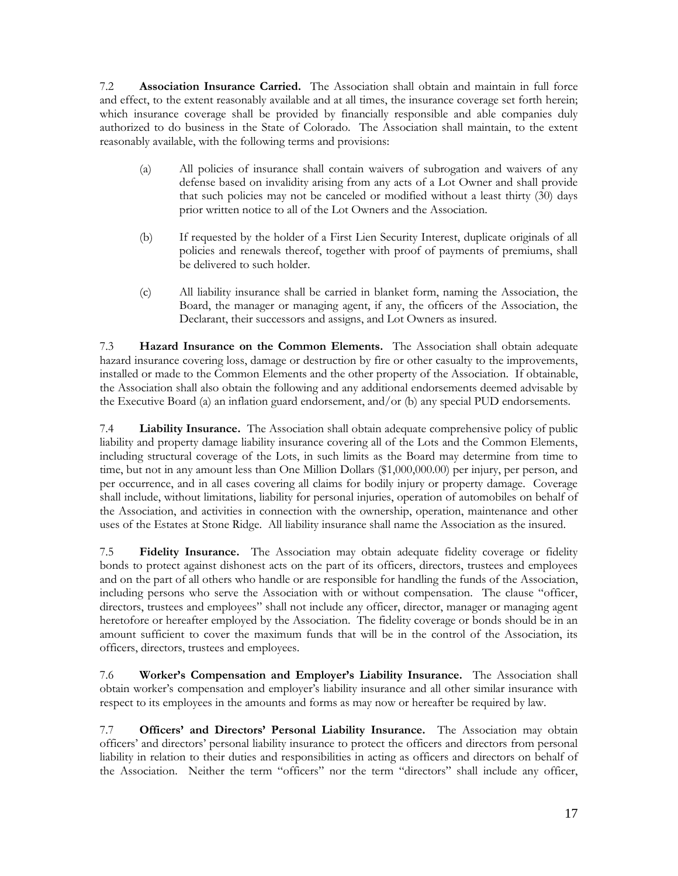7.2 **Association Insurance Carried.** The Association shall obtain and maintain in full force and effect, to the extent reasonably available and at all times, the insurance coverage set forth herein; which insurance coverage shall be provided by financially responsible and able companies duly authorized to do business in the State of Colorado. The Association shall maintain, to the extent reasonably available, with the following terms and provisions:

- (a) All policies of insurance shall contain waivers of subrogation and waivers of any defense based on invalidity arising from any acts of a Lot Owner and shall provide that such policies may not be canceled or modified without a least thirty (30) days prior written notice to all of the Lot Owners and the Association.
- (b) If requested by the holder of a First Lien Security Interest, duplicate originals of all policies and renewals thereof, together with proof of payments of premiums, shall be delivered to such holder.
- (c) All liability insurance shall be carried in blanket form, naming the Association, the Board, the manager or managing agent, if any, the officers of the Association, the Declarant, their successors and assigns, and Lot Owners as insured.

7.3 **Hazard Insurance on the Common Elements.** The Association shall obtain adequate hazard insurance covering loss, damage or destruction by fire or other casualty to the improvements, installed or made to the Common Elements and the other property of the Association. If obtainable, the Association shall also obtain the following and any additional endorsements deemed advisable by the Executive Board (a) an inflation guard endorsement, and/or (b) any special PUD endorsements.

7.4 **Liability Insurance.** The Association shall obtain adequate comprehensive policy of public liability and property damage liability insurance covering all of the Lots and the Common Elements, including structural coverage of the Lots, in such limits as the Board may determine from time to time, but not in any amount less than One Million Dollars (\$1,000,000.00) per injury, per person, and per occurrence, and in all cases covering all claims for bodily injury or property damage. Coverage shall include, without limitations, liability for personal injuries, operation of automobiles on behalf of the Association, and activities in connection with the ownership, operation, maintenance and other uses of the Estates at Stone Ridge. All liability insurance shall name the Association as the insured.

7.5 **Fidelity Insurance.** The Association may obtain adequate fidelity coverage or fidelity bonds to protect against dishonest acts on the part of its officers, directors, trustees and employees and on the part of all others who handle or are responsible for handling the funds of the Association, including persons who serve the Association with or without compensation. The clause "officer, directors, trustees and employees" shall not include any officer, director, manager or managing agent heretofore or hereafter employed by the Association. The fidelity coverage or bonds should be in an amount sufficient to cover the maximum funds that will be in the control of the Association, its officers, directors, trustees and employees.

7.6 **Worker's Compensation and Employer's Liability Insurance.** The Association shall obtain worker's compensation and employer's liability insurance and all other similar insurance with respect to its employees in the amounts and forms as may now or hereafter be required by law.

7.7 **Officers' and Directors' Personal Liability Insurance.** The Association may obtain officers' and directors' personal liability insurance to protect the officers and directors from personal liability in relation to their duties and responsibilities in acting as officers and directors on behalf of the Association. Neither the term "officers" nor the term "directors" shall include any officer,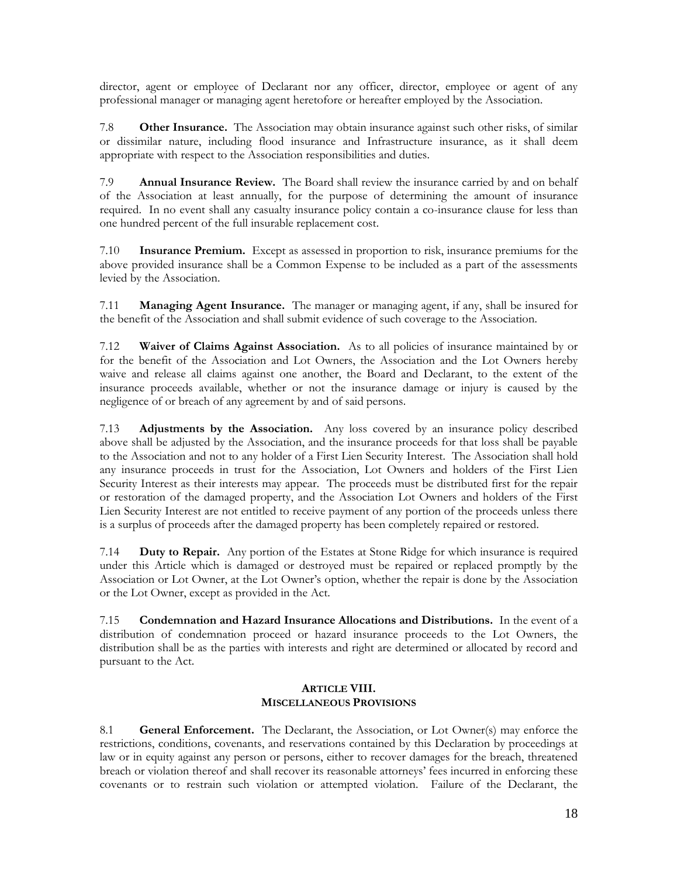director, agent or employee of Declarant nor any officer, director, employee or agent of any professional manager or managing agent heretofore or hereafter employed by the Association.

7.8 **Other Insurance.** The Association may obtain insurance against such other risks, of similar or dissimilar nature, including flood insurance and Infrastructure insurance, as it shall deem appropriate with respect to the Association responsibilities and duties.

7.9 **Annual Insurance Review.** The Board shall review the insurance carried by and on behalf of the Association at least annually, for the purpose of determining the amount of insurance required. In no event shall any casualty insurance policy contain a co-insurance clause for less than one hundred percent of the full insurable replacement cost.

7.10 **Insurance Premium.** Except as assessed in proportion to risk, insurance premiums for the above provided insurance shall be a Common Expense to be included as a part of the assessments levied by the Association.

7.11 **Managing Agent Insurance.** The manager or managing agent, if any, shall be insured for the benefit of the Association and shall submit evidence of such coverage to the Association.

7.12 **Waiver of Claims Against Association.** As to all policies of insurance maintained by or for the benefit of the Association and Lot Owners, the Association and the Lot Owners hereby waive and release all claims against one another, the Board and Declarant, to the extent of the insurance proceeds available, whether or not the insurance damage or injury is caused by the negligence of or breach of any agreement by and of said persons.

7.13 **Adjustments by the Association.** Any loss covered by an insurance policy described above shall be adjusted by the Association, and the insurance proceeds for that loss shall be payable to the Association and not to any holder of a First Lien Security Interest. The Association shall hold any insurance proceeds in trust for the Association, Lot Owners and holders of the First Lien Security Interest as their interests may appear. The proceeds must be distributed first for the repair or restoration of the damaged property, and the Association Lot Owners and holders of the First Lien Security Interest are not entitled to receive payment of any portion of the proceeds unless there is a surplus of proceeds after the damaged property has been completely repaired or restored.

7.14 **Duty to Repair.** Any portion of the Estates at Stone Ridge for which insurance is required under this Article which is damaged or destroyed must be repaired or replaced promptly by the Association or Lot Owner, at the Lot Owner's option, whether the repair is done by the Association or the Lot Owner, except as provided in the Act.

7.15 **Condemnation and Hazard Insurance Allocations and Distributions.** In the event of a distribution of condemnation proceed or hazard insurance proceeds to the Lot Owners, the distribution shall be as the parties with interests and right are determined or allocated by record and pursuant to the Act.

# **ARTICLE VIII. MISCELLANEOUS PROVISIONS**

8.1 **General Enforcement.** The Declarant, the Association, or Lot Owner(s) may enforce the restrictions, conditions, covenants, and reservations contained by this Declaration by proceedings at law or in equity against any person or persons, either to recover damages for the breach, threatened breach or violation thereof and shall recover its reasonable attorneys' fees incurred in enforcing these covenants or to restrain such violation or attempted violation. Failure of the Declarant, the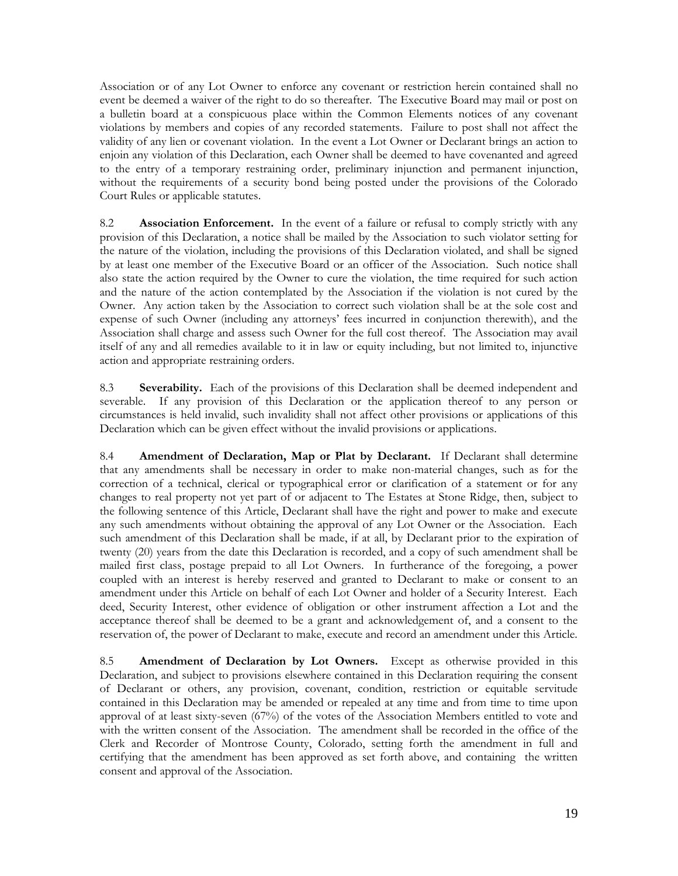Association or of any Lot Owner to enforce any covenant or restriction herein contained shall no event be deemed a waiver of the right to do so thereafter. The Executive Board may mail or post on a bulletin board at a conspicuous place within the Common Elements notices of any covenant violations by members and copies of any recorded statements. Failure to post shall not affect the validity of any lien or covenant violation. In the event a Lot Owner or Declarant brings an action to enjoin any violation of this Declaration, each Owner shall be deemed to have covenanted and agreed to the entry of a temporary restraining order, preliminary injunction and permanent injunction, without the requirements of a security bond being posted under the provisions of the Colorado Court Rules or applicable statutes.

8.2 **Association Enforcement.** In the event of a failure or refusal to comply strictly with any provision of this Declaration, a notice shall be mailed by the Association to such violator setting for the nature of the violation, including the provisions of this Declaration violated, and shall be signed by at least one member of the Executive Board or an officer of the Association. Such notice shall also state the action required by the Owner to cure the violation, the time required for such action and the nature of the action contemplated by the Association if the violation is not cured by the Owner. Any action taken by the Association to correct such violation shall be at the sole cost and expense of such Owner (including any attorneys' fees incurred in conjunction therewith), and the Association shall charge and assess such Owner for the full cost thereof. The Association may avail itself of any and all remedies available to it in law or equity including, but not limited to, injunctive action and appropriate restraining orders.

8.3 **Severability.** Each of the provisions of this Declaration shall be deemed independent and severable. If any provision of this Declaration or the application thereof to any person or circumstances is held invalid, such invalidity shall not affect other provisions or applications of this Declaration which can be given effect without the invalid provisions or applications.

8.4 **Amendment of Declaration, Map or Plat by Declarant.** If Declarant shall determine that any amendments shall be necessary in order to make non-material changes, such as for the correction of a technical, clerical or typographical error or clarification of a statement or for any changes to real property not yet part of or adjacent to The Estates at Stone Ridge, then, subject to the following sentence of this Article, Declarant shall have the right and power to make and execute any such amendments without obtaining the approval of any Lot Owner or the Association. Each such amendment of this Declaration shall be made, if at all, by Declarant prior to the expiration of twenty (20) years from the date this Declaration is recorded, and a copy of such amendment shall be mailed first class, postage prepaid to all Lot Owners. In furtherance of the foregoing, a power coupled with an interest is hereby reserved and granted to Declarant to make or consent to an amendment under this Article on behalf of each Lot Owner and holder of a Security Interest. Each deed, Security Interest, other evidence of obligation or other instrument affection a Lot and the acceptance thereof shall be deemed to be a grant and acknowledgement of, and a consent to the reservation of, the power of Declarant to make, execute and record an amendment under this Article.

8.5 **Amendment of Declaration by Lot Owners.** Except as otherwise provided in this Declaration, and subject to provisions elsewhere contained in this Declaration requiring the consent of Declarant or others, any provision, covenant, condition, restriction or equitable servitude contained in this Declaration may be amended or repealed at any time and from time to time upon approval of at least sixty-seven (67%) of the votes of the Association Members entitled to vote and with the written consent of the Association. The amendment shall be recorded in the office of the Clerk and Recorder of Montrose County, Colorado, setting forth the amendment in full and certifying that the amendment has been approved as set forth above, and containing the written consent and approval of the Association.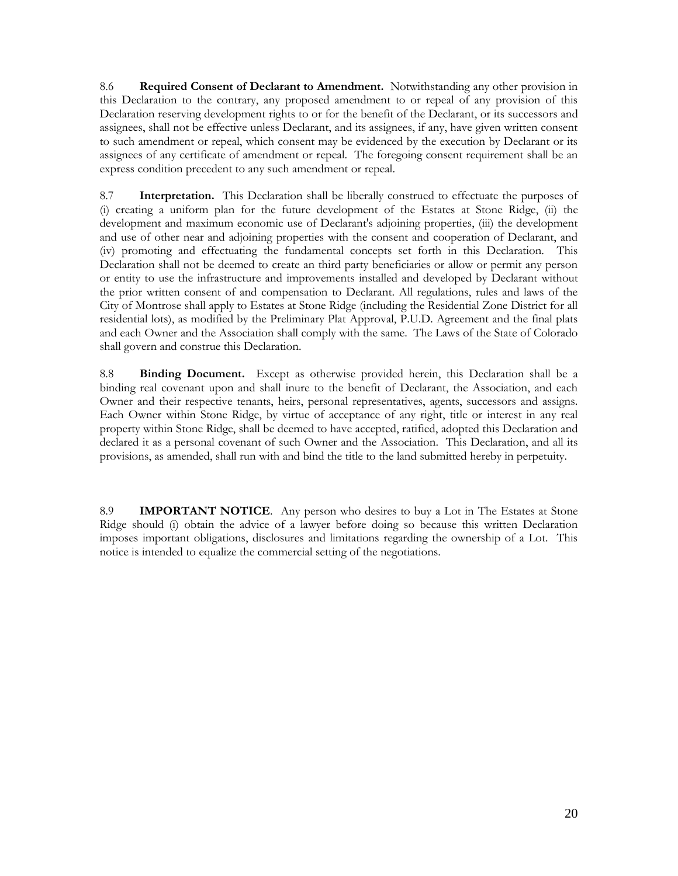8.6 **Required Consent of Declarant to Amendment.** Notwithstanding any other provision in this Declaration to the contrary, any proposed amendment to or repeal of any provision of this Declaration reserving development rights to or for the benefit of the Declarant, or its successors and assignees, shall not be effective unless Declarant, and its assignees, if any, have given written consent to such amendment or repeal, which consent may be evidenced by the execution by Declarant or its assignees of any certificate of amendment or repeal. The foregoing consent requirement shall be an express condition precedent to any such amendment or repeal.

8.7 **Interpretation.** This Declaration shall be liberally construed to effectuate the purposes of (i) creating a uniform plan for the future development of the Estates at Stone Ridge, (ii) the development and maximum economic use of Declarant's adjoining properties, (iii) the development and use of other near and adjoining properties with the consent and cooperation of Declarant, and (iv) promoting and effectuating the fundamental concepts set forth in this Declaration. This Declaration shall not be deemed to create an third party beneficiaries or allow or permit any person or entity to use the infrastructure and improvements installed and developed by Declarant without the prior written consent of and compensation to Declarant. All regulations, rules and laws of the City of Montrose shall apply to Estates at Stone Ridge (including the Residential Zone District for all residential lots), as modified by the Preliminary Plat Approval, P.U.D. Agreement and the final plats and each Owner and the Association shall comply with the same. The Laws of the State of Colorado shall govern and construe this Declaration.

8.8 **Binding Document.** Except as otherwise provided herein, this Declaration shall be a binding real covenant upon and shall inure to the benefit of Declarant, the Association, and each Owner and their respective tenants, heirs, personal representatives, agents, successors and assigns. Each Owner within Stone Ridge, by virtue of acceptance of any right, title or interest in any real property within Stone Ridge, shall be deemed to have accepted, ratified, adopted this Declaration and declared it as a personal covenant of such Owner and the Association. This Declaration, and all its provisions, as amended, shall run with and bind the title to the land submitted hereby in perpetuity.

8.9 **IMPORTANT NOTICE**. Any person who desires to buy a Lot in The Estates at Stone Ridge should (i) obtain the advice of a lawyer before doing so because this written Declaration imposes important obligations, disclosures and limitations regarding the ownership of a Lot. This notice is intended to equalize the commercial setting of the negotiations.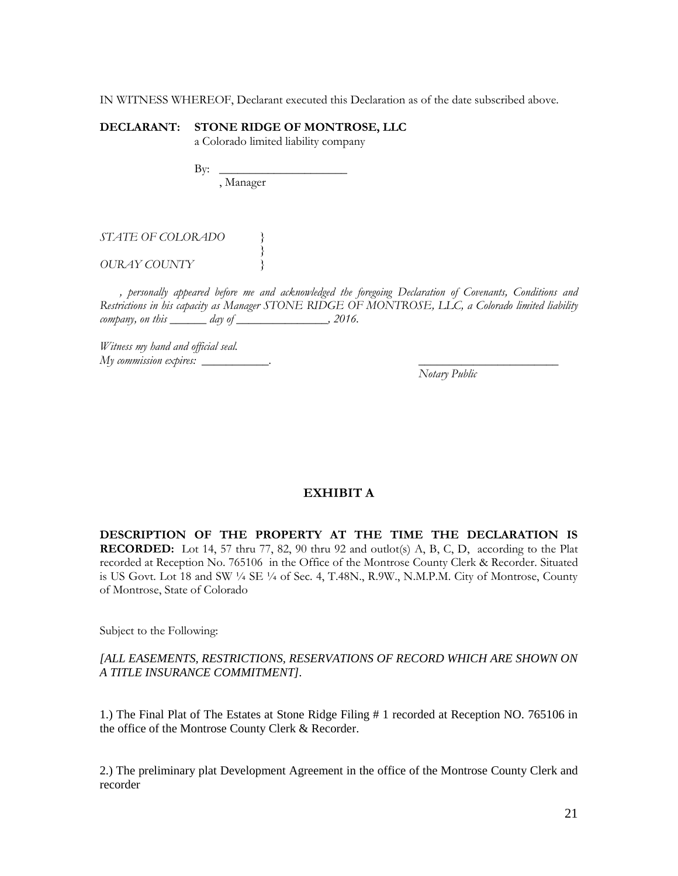IN WITNESS WHEREOF, Declarant executed this Declaration as of the date subscribed above.

# **DECLARANT: STONE RIDGE OF MONTROSE, LLC**

a Colorado limited liability company

By: \_\_\_\_\_\_\_\_\_\_\_\_\_\_\_\_\_\_\_\_\_ , Manager

*}*

*STATE OF COLORADO }*

*OURAY COUNTY }*

*, personally appeared before me and acknowledged the foregoing Declaration of Covenants, Conditions and Restrictions in his capacity as Manager STONE RIDGE OF MONTROSE, LLC, a Colorado limited liability company, on this \_\_\_\_\_\_ day of \_\_\_\_\_\_\_\_\_\_\_\_\_\_\_, 2016.*

*Witness my hand and official seal. My commission expires:* 

*Notary Public*

# **EXHIBIT A**

**DESCRIPTION OF THE PROPERTY AT THE TIME THE DECLARATION IS RECORDED:** Lot 14, 57 thru 77, 82, 90 thru 92 and outlot(s) A, B, C, D, according to the Plat recorded at Reception No. 765106 in the Office of the Montrose County Clerk & Recorder. Situated is US Govt. Lot 18 and SW ¼ SE ¼ of Sec. 4, T.48N., R.9W., N.M.P.M. City of Montrose, County of Montrose, State of Colorado

Subject to the Following:

# *[ALL EASEMENTS, RESTRICTIONS, RESERVATIONS OF RECORD WHICH ARE SHOWN ON A TITLE INSURANCE COMMITMENT].*

1.) The Final Plat of The Estates at Stone Ridge Filing # 1 recorded at Reception NO. 765106 in the office of the Montrose County Clerk & Recorder.

2.) The preliminary plat Development Agreement in the office of the Montrose County Clerk and recorder